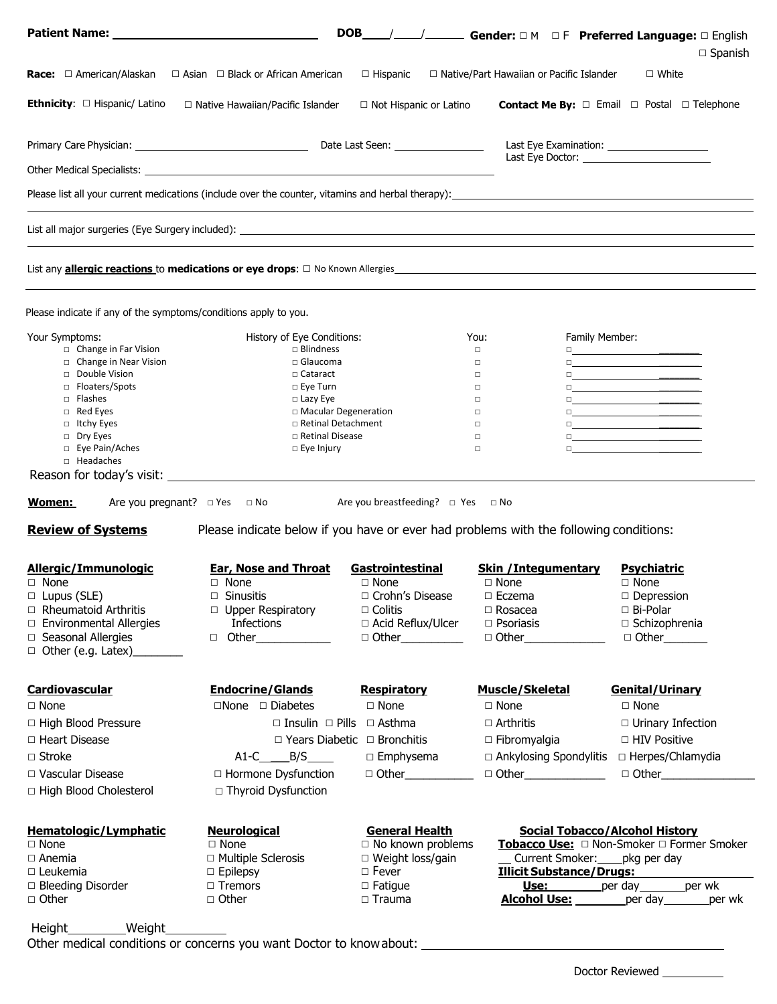|                                                                                                                                                                                                                     |                                                                                                                                                                                                                                                   |                                                                                                                            |                                                                                                                                                           | DOB____/____/_________ Gender: □ M □ F Preferred Language: □ English<br>$\square$ Spanish                 |
|---------------------------------------------------------------------------------------------------------------------------------------------------------------------------------------------------------------------|---------------------------------------------------------------------------------------------------------------------------------------------------------------------------------------------------------------------------------------------------|----------------------------------------------------------------------------------------------------------------------------|-----------------------------------------------------------------------------------------------------------------------------------------------------------|-----------------------------------------------------------------------------------------------------------|
|                                                                                                                                                                                                                     | <b>Race:</b> $\Box$ American/Alaskan $\Box$ Asian $\Box$ Black or African American                                                                                                                                                                | $\Box$ Hispanic                                                                                                            | □ Native/Part Hawaiian or Pacific Islander                                                                                                                | $\Box$ White                                                                                              |
| <b>Ethnicity:</b> □ Hispanic/ Latino                                                                                                                                                                                | □ Native Hawaiian/Pacific Islander                                                                                                                                                                                                                | □ Not Hispanic or Latino                                                                                                   |                                                                                                                                                           | <b>Contact Me By:</b> $\Box$ Email $\Box$ Postal $\Box$ Telephone                                         |
|                                                                                                                                                                                                                     |                                                                                                                                                                                                                                                   |                                                                                                                            | Last Eye Examination: _____________________                                                                                                               |                                                                                                           |
|                                                                                                                                                                                                                     |                                                                                                                                                                                                                                                   |                                                                                                                            |                                                                                                                                                           |                                                                                                           |
|                                                                                                                                                                                                                     |                                                                                                                                                                                                                                                   |                                                                                                                            | <u> 1989 - Johann Johann Stoff, deutscher Stoff und der Stoff und der Stoff und der Stoff und der Stoff und der S</u>                                     |                                                                                                           |
|                                                                                                                                                                                                                     |                                                                                                                                                                                                                                                   |                                                                                                                            |                                                                                                                                                           |                                                                                                           |
|                                                                                                                                                                                                                     | List any <b>allergic reactions</b> to <b>medications or eye drops</b> : $\Box$ No Known Allergies <b>Constitution and the constant of the constant of the constant of the constant of the constant of the constant of the constant of the con</b> |                                                                                                                            |                                                                                                                                                           |                                                                                                           |
| Please indicate if any of the symptoms/conditions apply to you.                                                                                                                                                     |                                                                                                                                                                                                                                                   |                                                                                                                            |                                                                                                                                                           |                                                                                                           |
| Your Symptoms:<br>$\Box$ Change in Far Vision<br>$\Box$ Change in Near Vision<br>Double Vision<br>□ Floaters/Spots<br>□ Flashes<br>$\Box$ Red Eyes<br>$\Box$ Itchy Eyes<br>$\Box$ Dry Eyes<br>$\Box$ Eye Pain/Aches | History of Eye Conditions:<br>$\square$ Blindness<br>$\Box$ Glaucoma<br>$\Box$ Cataract<br>$\Box$ Eye Turn<br>$\Box$ Lazy Eye<br>□ Macular Degeneration<br>□ Retinal Detachment<br>$\Box$ Retinal Disease<br>$\Box$ Eye Injury                    |                                                                                                                            | Family Member:<br>You:<br>$\Box$<br>$\Box$<br>$\Box$<br>$\Box$<br>$\Box$<br>$\Box$<br>$\Box$<br>$\Box$<br>$\Box$                                          | <b>Q</b> and the second contract of the second<br>0 <u>_________________________</u>                      |
| □ Headaches                                                                                                                                                                                                         |                                                                                                                                                                                                                                                   |                                                                                                                            |                                                                                                                                                           |                                                                                                           |
| Women:<br><b>Review of Systems</b>                                                                                                                                                                                  | Are you pregnant? D Yes D No<br>Please indicate below if you have or ever had problems with the following conditions:                                                                                                                             | Are you breastfeeding? $\Box$ Yes $\Box$ No                                                                                |                                                                                                                                                           |                                                                                                           |
| <b>Allergic/Immunologic</b><br>$\Box$ None<br>Lupus (SLE)<br>0<br>$\Box$ Rheumatoid Arthritis<br>$\Box$ Environmental Allergies<br>$\Box$ Seasonal Allergies<br>$\Box$ Other (e.g. Latex) ______                    | <b>Ear, Nose and Throat</b><br>$\Box$ None<br>$\Box$ Sinusitis<br>□ Upper Respiratory<br>Infections                                                                                                                                               | <b>Gastrointestinal</b><br>$\Box$ None<br>□ Crohn's Disease<br>$\Box$ Colitis<br>□ Acid Reflux/Ulcer                       | <b>Skin /Integumentary</b><br>$\Box$ None<br>$\Box$ Eczema<br>$\Box$ Rosacea<br>□ Psoriasis                                                               | <b>Psychiatric</b><br>$\Box$ None<br>$\Box$ Depression<br>□ Bi-Polar<br>□ Schizophrenia                   |
| <b>Cardiovascular</b><br>$\Box$ None<br>□ High Blood Pressure<br>□ Heart Disease<br>$\Box$ Stroke<br>□ Vascular Disease<br>□ High Blood Cholesterol                                                                 | <b>Endocrine/Glands</b><br>$\Box$ None $\Box$ Diabetes<br>$\Box$ Insulin $\Box$ Pills $\Box$ Asthma<br>$\Box$ Years Diabetic $\Box$ Bronchitis<br>$A1-C$ $B/S$ $\qquad$<br>□ Hormone Dysfunction<br>□ Thyroid Dysfunction                         | <b>Respiratory</b><br>$\Box$ None<br>$\square$ Emphysema                                                                   | Muscle/Skeletal<br>$\Box$ None<br>$\Box$ Arthritis<br>$\Box$ Fibromyalgia<br>$\Box$ Ankylosing Spondylitis                                                | <b>Genital/Urinary</b><br>$\Box$ None<br>$\Box$ Urinary Infection<br>□ HIV Positive<br>□ Herpes/Chlamydia |
| <b>Hematologic/Lymphatic</b><br>$\Box$ None<br>$\Box$ Anemia<br>$\Box$ Leukemia<br>$\Box$ Bleeding Disorder<br>$\Box$ Other                                                                                         | <b>Neurological</b><br>$\Box$ None<br>□ Multiple Sclerosis<br>$\Box$ Epilepsy<br>$\Box$ Tremors<br>$\Box$ Other                                                                                                                                   | <b>General Health</b><br>$\Box$ No known problems<br>□ Weight loss/gain<br>$\Box$ Fever<br>$\Box$ Fatigue<br>$\Box$ Trauma | <b>Social Tobacco/Alcohol History</b><br>_ Current Smoker: _ _ _ pkg per day<br><b>Illicit Substance/Drugs:</b><br>Alcohol Use: _________ per day _______ | Use: per day per wk<br>_per wk                                                                            |

Height\_\_\_\_\_\_\_\_\_\_Weight Other medical conditions or concerns you want Doctor to knowabout: